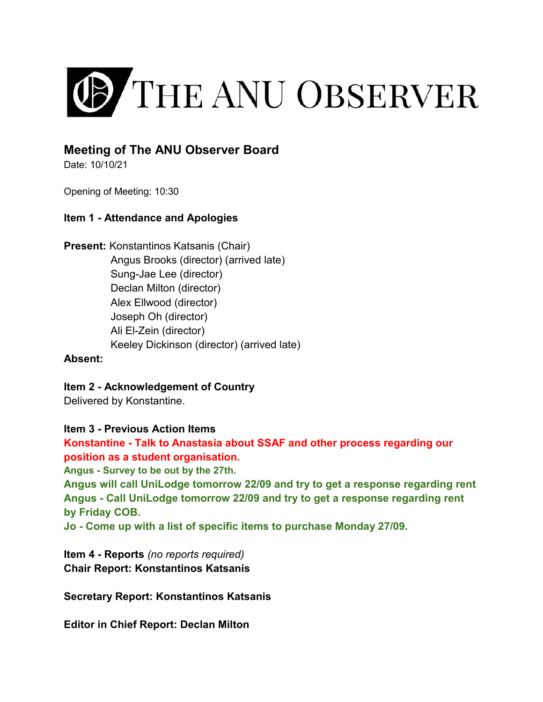

# **Meeting of The ANU Observer Board**

Date: 10/10/21

Opening of Meeting: 10:30

## **Item 1 - Attendance and Apologies**

**Present:** Konstantinos Katsanis (Chair) Angus Brooks (director) (arrived late) Sung-Jae Lee (director) Declan Milton (director) Alex Ellwood (director) Joseph Oh (director) Ali El-Zein (director) Keeley Dickinson (director) (arrived late)

### **Absent:**

**Item 2 - Acknowledgement of Country** Delivered by Konstantine.

### **Item 3 - Previous Action Items**

**Konstantine - Talk to Anastasia about SSAF and other process regarding our position as a student organisation.** 

**Angus - Survey to be out by the 27th.** 

**Angus will call UniLodge tomorrow 22/09 and try to get a response regarding rent Angus - Call UniLodge tomorrow 22/09 and try to get a response regarding rent by Friday COB.** 

**Jo - Come up with a list of specific items to purchase Monday 27/09.** 

**Item 4 - Reports** *(no reports required)*  **Chair Report: Konstantinos Katsanis** 

**Secretary Report: Konstantinos Katsanis**

**Editor in Chief Report: Declan Milton**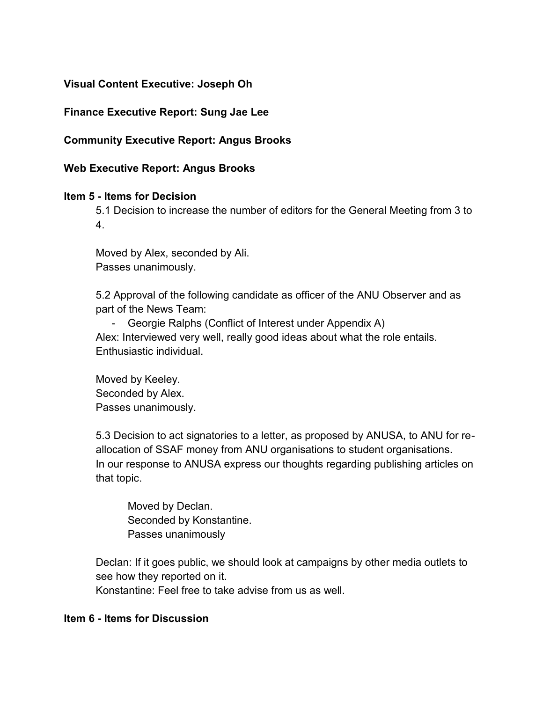## **Visual Content Executive: Joseph Oh**

## **Finance Executive Report: Sung Jae Lee**

## **Community Executive Report: Angus Brooks**

#### **Web Executive Report: Angus Brooks**

### **Item 5 - Items for Decision**

5.1 Decision to increase the number of editors for the General Meeting from 3 to 4.

Moved by Alex, seconded by Ali. Passes unanimously.

5.2 Approval of the following candidate as officer of the ANU Observer and as part of the News Team:

- Georgie Ralphs (Conflict of Interest under Appendix A) Alex: Interviewed very well, really good ideas about what the role entails. Enthusiastic individual.

 Moved by Keeley. Seconded by Alex. Passes unanimously.

5.3 Decision to act signatories to a letter, as proposed by ANUSA, to ANU for reallocation of SSAF money from ANU organisations to student organisations. In our response to ANUSA express our thoughts regarding publishing articles on that topic.

 Moved by Declan. Seconded by Konstantine. Passes unanimously

Declan: If it goes public, we should look at campaigns by other media outlets to see how they reported on it. Konstantine: Feel free to take advise from us as well.

#### **Item 6 - Items for Discussion**